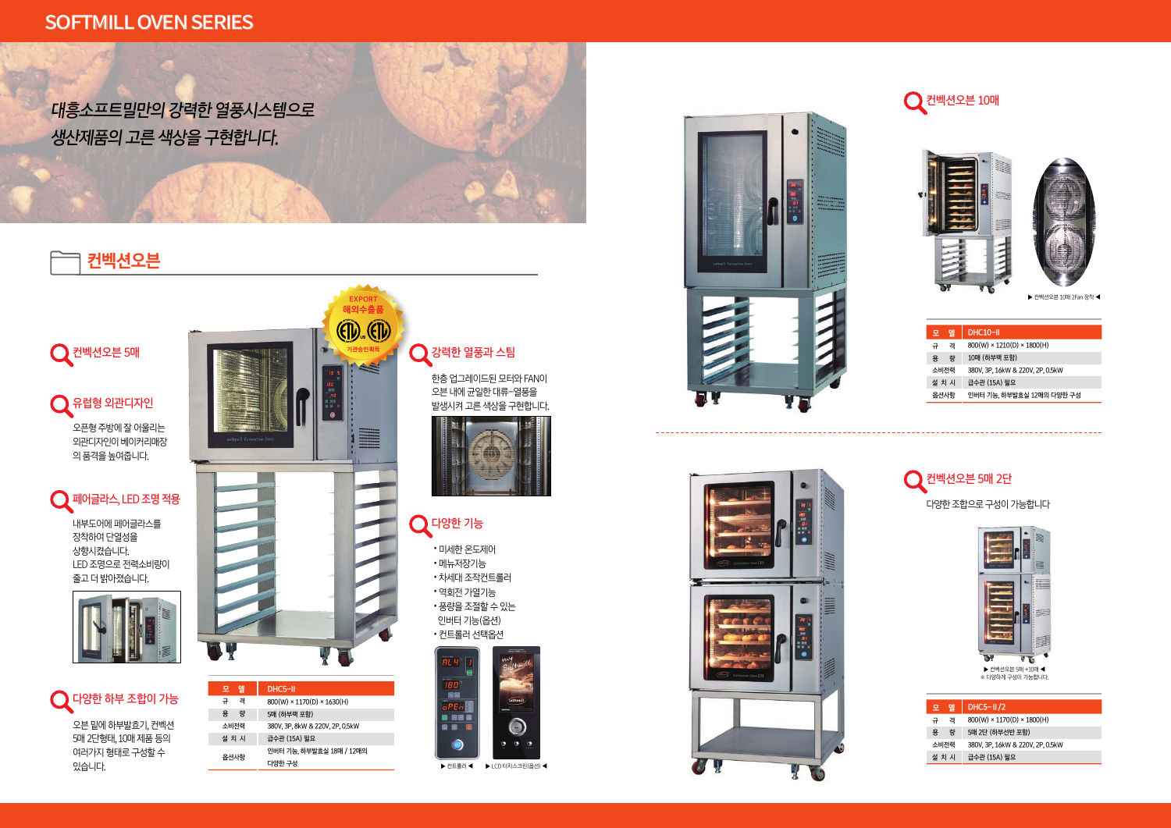# **컨벡션오븐**

LED 조명으로 전력소비량이 줄고더밝아졌습니다.

오픈형 주방에 잘 어울리는 외관디자인이 베이커리매장 의 품격을 높여줍니다.

























다양한 조합으로 구성이 가능합니다



한층 업그레이드된 모터와 FAN이 오븐 내에 균일한 대류-열풍을 발생시켜 고른 색상을 구현합니다.

 $\bigcirc$  강력한 열풍과 스팀

▶ 컨트롤러 ◀ ▶ LCD 터치스크린(옵션) ◀

∙미세한 온도제어 ∙메뉴저장기능 ∙차세대 조작컨트롤러 ∙역회전 가열기능

 $Q$  다양한 기능











오븐 밑에 하부발효기, 컨벡션 5매 2단형태, 10매 제품 등의 여러가지 형태로 구성할 수

 $\bigcirc$  다양한 하부 조합이 가능

있습니다.





M

| × 1630(H)      |  |
|----------------|--|
| 20V, 2P, 0.5kW |  |
| 효실 18매 / 12매의  |  |

**EXPORT 해외수출품**

**기관승인획득**

 $(E)$   $(E)$ 







 $\bigcirc$  유럽형 외관디자인

| 모     | 델 | DHC5-II/2                              |
|-------|---|----------------------------------------|
| 규     | 격 | $800(W) \times 1170(D) \times 1800(H)$ |
| 용     | 량 | 5매 2단 (하부선반 포함)                        |
| 소비전력  |   | 380V, 3P, 16kW & 220V, 2P, 0.5kW       |
| 설 치 시 |   | 급수관 (15A) 필요                           |







| 델<br>모 | DHC10-II                               |
|--------|----------------------------------------|
| 격<br>규 | $800(W) \times 1210(D) \times 1800(H)$ |
| 량<br>용 | 10매 (하부랙 포함)                           |
| 소비전력   | 380V, 3P, 16kW & 220V, 2P, 0.5kW       |
| 설 치 시  | 급수관 (15A) 필요                           |
| 옵션사항   | 인버터 기능, 하부발효실 12매의 다양한 구성              |

▶ 컨벡션오븐 10매 2Fan 장착 ◀

▶ 컨벡션오븐 5매 +10매 ◀ ※ 다양하게 구성이 가능합니다.

대흥소프트밀만의 강력한 열풍시스템으로 생산제품의 고른 색상을 구현합니다.

## SOFTMILL OVEN SERIES